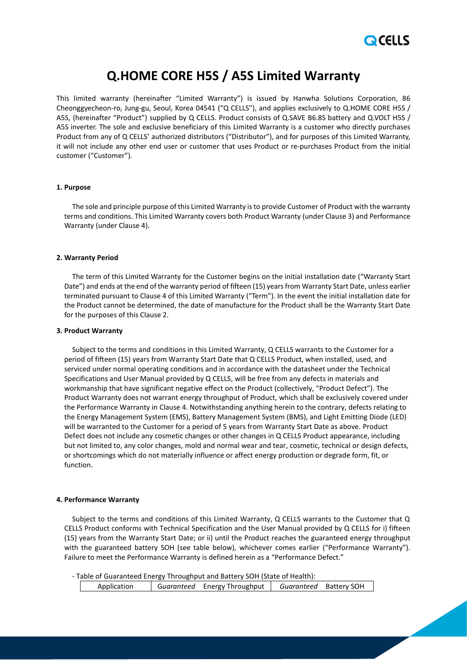

# **Q.HOME CORE H5S / A5S Limited Warranty**

This limited warranty (hereinafter "Limited Warranty") is issued by Hanwha Solutions Corporation, 86 Cheonggyecheon-ro, Jung-gu, Seoul, Korea 04541 ("Q CELLS"), and applies exclusively to Q.HOME CORE H5S / A5S, (hereinafter "Product") supplied by Q CELLS. Product consists of Q.SAVE B6.8S battery and Q.VOLT H5S / A5S inverter. The sole and exclusive beneficiary of this Limited Warranty is a customer who directly purchases Product from any of Q CELLS' authorized distributors ("Distributor"), and for purposes of this Limited Warranty, it will not include any other end user or customer that uses Product or re-purchases Product from the initial customer ("Customer").

# **1. Purpose**

The sole and principle purpose of this Limited Warranty is to provide Customer of Product with the warranty terms and conditions. This Limited Warranty covers both Product Warranty (under Clause 3) and Performance Warranty (under Clause 4).

#### **2. Warranty Period**

The term of this Limited Warranty for the Customer begins on the initial installation date ("Warranty Start Date") and ends at the end of the warranty period of fifteen (15) years from Warranty Start Date, unless earlier terminated pursuant to Clause 4 of this Limited Warranty ("Term"). In the event the initial installation date for the Product cannot be determined, the date of manufacture for the Product shall be the Warranty Start Date for the purposes of this Clause 2.

# **3. Product Warranty**

Subject to the terms and conditions in this Limited Warranty, Q CELLS warrants to the Customer for a period of fifteen (15) years from Warranty Start Date that Q CELLS Product, when installed, used, and serviced under normal operating conditions and in accordance with the datasheet under the Technical Specifications and User Manual provided by Q CELLS, will be free from any defects in materials and workmanship that have significant negative effect on the Product (collectively, "Product Defect"). The Product Warranty does not warrant energy throughput of Product, which shall be exclusively covered under the Performance Warranty in Clause 4. Notwithstanding anything herein to the contrary, defects relating to the Energy Management System (EMS), Battery Management System (BMS), and Light Emitting Diode (LED) will be warranted to the Customer for a period of 5 years from Warranty Start Date as above. Product Defect does not include any cosmetic changes or other changes in Q CELLS Product appearance, including but not limited to, any color changes, mold and normal wear and tear, cosmetic, technical or design defects, or shortcomings which do not materially influence or affect energy production or degrade form, fit, or function.

#### **4. Performance Warranty**

Subject to the terms and conditions of this Limited Warranty, Q CELLS warrants to the Customer that Q CELLS Product conforms with Technical Specification and the User Manual provided by Q CELLS for i) fifteen (15) years from the Warranty Start Date; or ii) until the Product reaches the guaranteed energy throughput with the guaranteed battery SOH (see table below), whichever comes earlier ("Performance Warranty"). Failure to meet the Performance Warranty is defined herein as a "Performance Defect."

- Table of Guaranteed Energy Throughput and Battery SOH (State of Health): Application G*uaranteed* Energy Throughput *Guaranteed* Battery SOH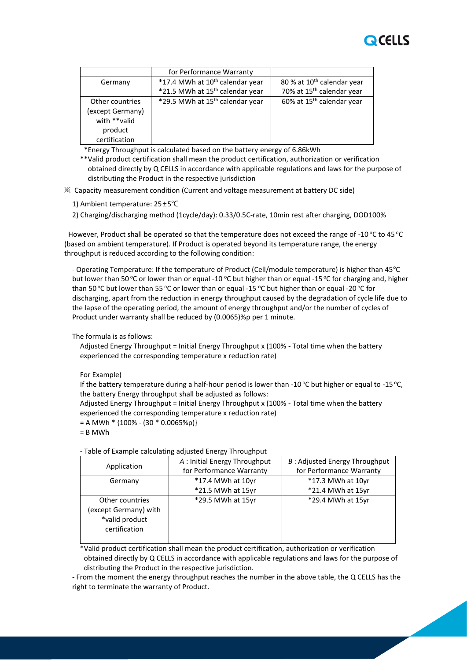

|                  | for Performance Warranty                    |                                        |
|------------------|---------------------------------------------|----------------------------------------|
| Germany          | *17.4 MWh at 10 <sup>th</sup> calendar year | 80 % at 10 <sup>th</sup> calendar year |
|                  | *21.5 MWh at 15 <sup>th</sup> calendar year | 70% at 15 <sup>th</sup> calendar year  |
| Other countries  | *29.5 MWh at 15 <sup>th</sup> calendar year | 60% at 15 <sup>th</sup> calendar year  |
| (except Germany) |                                             |                                        |
| with **valid     |                                             |                                        |
| product          |                                             |                                        |
| certification    |                                             |                                        |

\*Energy Throughput is calculated based on the battery energy of 6.86kWh

 \*\*Valid product certification shall mean the product certification, authorization or verification obtained directly by Q CELLS in accordance with applicable regulations and laws for the purpose of distributing the Product in the respective jurisdiction

※ Capacity measurement condition (Current and voltage measurement at battery DC side)

1) Ambient temperature: 25±5℃

2) Charging/discharging method (1cycle/day): 0.33/0.5C-rate, 10min rest after charging, DOD100%

However, Product shall be operated so that the temperature does not exceed the range of -10 °C to 45 °C (based on ambient temperature). If Product is operated beyond its temperature range, the energy throughput is reduced according to the following condition:

- Operating Temperature: If the temperature of Product (Cell/module temperature) is higher than 45°C but lower than 50 °C or lower than or equal -10 °C but higher than or equal -15 °C for charging and, higher than 50 °C but lower than 55 °C or lower than or equal -15 °C but higher than or equal -20 °C for discharging, apart from the reduction in energy throughput caused by the degradation of cycle life due to the lapse of the operating period, the amount of energy throughput and/or the number of cycles of Product under warranty shall be reduced by (0.0065)%p per 1 minute.

The formula is as follows:

Adjusted Energy Throughput = Initial Energy Throughput x (100% - Total time when the battery experienced the corresponding temperature x reduction rate)

For Example)

If the battery temperature during a half-hour period is lower than -10 °C but higher or equal to -15 °C, the battery Energy throughput shall be adjusted as follows:

Adjusted Energy Throughput = Initial Energy Throughput x (100% - Total time when the battery experienced the corresponding temperature x reduction rate)

 $= A MWh * {100% - (30 * 0.0065%)}$ 

= B MWh

| Application           | A : Initial Energy Throughput | B: Adjusted Energy Throughput |
|-----------------------|-------------------------------|-------------------------------|
|                       | for Performance Warranty      | for Performance Warranty      |
| Germany               | *17.4 MWh at 10yr             | *17.3 MWh at 10yr             |
|                       | *21.5 MWh at 15yr             | *21.4 MWh at 15yr             |
| Other countries       | *29.5 MWh at 15yr             | *29.4 MWh at 15yr             |
| (except Germany) with |                               |                               |
| *valid product        |                               |                               |
| certification         |                               |                               |
|                       |                               |                               |

- Table of Example calculating adjusted Energy Throughput

\*Valid product certification shall mean the product certification, authorization or verification obtained directly by Q CELLS in accordance with applicable regulations and laws for the purpose of distributing the Product in the respective jurisdiction.

- From the moment the energy throughput reaches the number in the above table, the Q CELLS has the right to terminate the warranty of Product.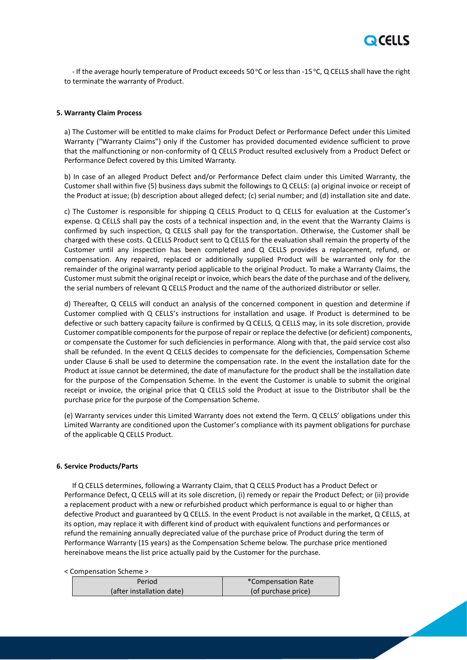

- If the average hourly temperature of Product exceeds 50 °C or less than -15 °C, Q CELLS shall have the right to terminate the warranty of Product.

# **5. Warranty Claim Process**

a) The Customer will be entitled to make claims for Product Defect or Performance Defect under this Limited Warranty ("Warranty Claims") only if the Customer has provided documented evidence sufficient to prove that the malfunctioning or non-conformity of Q CELLS Product resulted exclusively from a Product Defect or Performance Defect covered by this Limited Warranty.

b) In case of an alleged Product Defect and/or Performance Defect claim under this Limited Warranty, the Customer shall within five (5) business days submit the followings to Q CELLS: (a) original invoice or receipt of the Product at issue; (b) description about alleged defect; (c) serial number; and (d) installation site and date.

c) The Customer is responsible for shipping Q CELLS Product to Q CELLS for evaluation at the Customer's expense. Q CELLS shall pay the costs of a technical inspection and, in the event that the Warranty Claims is confirmed by such inspection, Q CELLS shall pay for the transportation. Otherwise, the Customer shall be charged with these costs. Q CELLS Product sent to Q CELLS for the evaluation shall remain the property of the Customer until any inspection has been completed and Q CELLS provides a replacement, refund, or compensation. Any repaired, replaced or additionally supplied Product will be warranted only for the remainder of the original warranty period applicable to the original Product. To make a Warranty Claims, the Customer must submit the original receipt or invoice, which bears the date of the purchase and of the delivery, the serial numbers of relevant Q CELLS Product and the name of the authorized distributor or seller.

d) Thereafter, Q CELLS will conduct an analysis of the concerned component in question and determine if Customer complied with Q CELLS's instructions for installation and usage. If Product is determined to be defective or such battery capacity failure is confirmed by Q CELLS, Q CELLS may, in its sole discretion, provide Customer compatible components for the purpose of repair or replace the defective (or deficient) components, or compensate the Customer for such deficiencies in performance. Along with that, the paid service cost also shall be refunded. In the event Q CELLS decides to compensate for the deficiencies, Compensation Scheme under Clause 6 shall be used to determine the compensation rate. In the event the installation date for the Product at issue cannot be determined, the date of manufacture for the product shall be the installation date for the purpose of the Compensation Scheme. In the event the Customer is unable to submit the original receipt or invoice, the original price that Q CELLS sold the Product at issue to the Distributor shall be the purchase price for the purpose of the Compensation Scheme.

(e) Warranty services under this Limited Warranty does not extend the Term. Q CELLS' obligations under this Limited Warranty are conditioned upon the Customer's compliance with its payment obligations for purchase of the applicable Q CELLS Product.

# **6. Service Products/Parts**

If Q CELLS determines, following a Warranty Claim, that Q CELLS Product has a Product Defect or Performance Defect, Q CELLS will at its sole discretion, (i) remedy or repair the Product Defect; or (ii) provide a replacement product with a new or refurbished product which performance is equal to or higher than defective Product and guaranteed by Q CELLS. In the event Product is not available in the market, Q CELLS, at its option, may replace it with different kind of product with equivalent functions and performances or refund the remaining annually depreciated value of the purchase price of Product during the term of Performance Warranty (15 years) as the Compensation Scheme below. The purchase price mentioned hereinabove means the list price actually paid by the Customer for the purchase.

< Compensation Scheme >

| Period                    | *Compensation Rate  |  |
|---------------------------|---------------------|--|
| (after installation date) | (of purchase price) |  |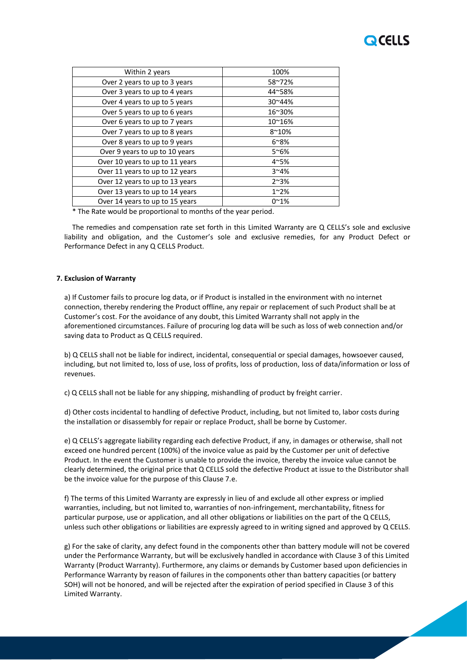# **OCELLS**

| Within 2 years                  | 100%           |
|---------------------------------|----------------|
| Over 2 years to up to 3 years   | 58~72%         |
| Over 3 years to up to 4 years   | 44~58%         |
| Over 4 years to up to 5 years   | 30~44%         |
| Over 5 years to up to 6 years   | 16~30%         |
| Over 6 years to up to 7 years   | 10~16%         |
| Over 7 years to up to 8 years   | $8^{\sim}10\%$ |
| Over 8 years to up to 9 years   | $6^{\sim}8\%$  |
| Over 9 years to up to 10 years  | $5^{\sim}6\%$  |
| Over 10 years to up to 11 years | $4^{\sim}5\%$  |
| Over 11 years to up to 12 years | $3^{\sim}4\%$  |
| Over 12 years to up to 13 years | $2^{\sim}3%$   |
| Over 13 years to up to 14 years | $1^{\sim}2\%$  |
| Over 14 years to up to 15 years | $0^{\sim}1%$   |
|                                 |                |

\* The Rate would be proportional to months of the year period.

The remedies and compensation rate set forth in this Limited Warranty are Q CELLS's sole and exclusive liability and obligation, and the Customer's sole and exclusive remedies, for any Product Defect or Performance Defect in any Q CELLS Product.

# **7. Exclusion of Warranty**

a) If Customer fails to procure log data, or if Product is installed in the environment with no internet connection, thereby rendering the Product offline, any repair or replacement of such Product shall be at Customer's cost. For the avoidance of any doubt, this Limited Warranty shall not apply in the aforementioned circumstances. Failure of procuring log data will be such as loss of web connection and/or saving data to Product as Q CELLS required.

b) Q CELLS shall not be liable for indirect, incidental, consequential or special damages, howsoever caused, including, but not limited to, loss of use, loss of profits, loss of production, loss of data/information or loss of revenues.

c) Q CELLS shall not be liable for any shipping, mishandling of product by freight carrier.

d) Other costs incidental to handling of defective Product, including, but not limited to, labor costs during the installation or disassembly for repair or replace Product, shall be borne by Customer.

e) Q CELLS's aggregate liability regarding each defective Product, if any, in damages or otherwise, shall not exceed one hundred percent (100%) of the invoice value as paid by the Customer per unit of defective Product. In the event the Customer is unable to provide the invoice, thereby the invoice value cannot be clearly determined, the original price that Q CELLS sold the defective Product at issue to the Distributor shall be the invoice value for the purpose of this Clause 7.e.

f) The terms of this Limited Warranty are expressly in lieu of and exclude all other express or implied warranties, including, but not limited to, warranties of non-infringement, merchantability, fitness for particular purpose, use or application, and all other obligations or liabilities on the part of the Q CELLS, unless such other obligations or liabilities are expressly agreed to in writing signed and approved by Q CELLS.

g) For the sake of clarity, any defect found in the components other than battery module will not be covered under the Performance Warranty, but will be exclusively handled in accordance with Clause 3 of this Limited Warranty (Product Warranty). Furthermore, any claims or demands by Customer based upon deficiencies in Performance Warranty by reason of failures in the components other than battery capacities (or battery SOH) will not be honored, and will be rejected after the expiration of period specified in Clause 3 of this Limited Warranty.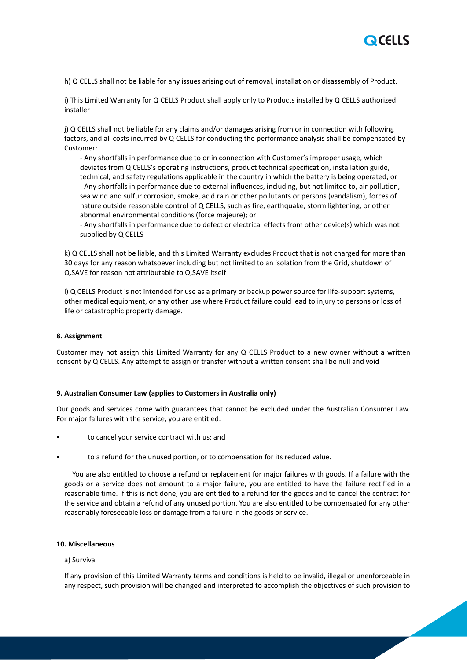

h) Q CELLS shall not be liable for any issues arising out of removal, installation or disassembly of Product.

i) This Limited Warranty for Q CELLS Product shall apply only to Products installed by Q CELLS authorized installer

j) Q CELLS shall not be liable for any claims and/or damages arising from or in connection with following factors, and all costs incurred by Q CELLS for conducting the performance analysis shall be compensated by Customer:

- Any shortfalls in performance due to or in connection with Customer's improper usage, which deviates from Q CELLS's operating instructions, product technical specification, installation guide, technical, and safety regulations applicable in the country in which the battery is being operated; or - Any shortfalls in performance due to external influences, including, but not limited to, air pollution, sea wind and sulfur corrosion, smoke, acid rain or other pollutants or persons (vandalism), forces of nature outside reasonable control of Q CELLS, such as fire, earthquake, storm lightening, or other abnormal environmental conditions (force majeure); or

- Any shortfalls in performance due to defect or electrical effects from other device(s) which was not supplied by Q CELLS

k) Q CELLS shall not be liable, and this Limited Warranty excludes Product that is not charged for more than 30 days for any reason whatsoever including but not limited to an isolation from the Grid, shutdown of Q.SAVE for reason not attributable to Q.SAVE itself

l) Q CELLS Product is not intended for use as a primary or backup power source for life-support systems, other medical equipment, or any other use where Product failure could lead to injury to persons or loss of life or catastrophic property damage.

# **8. Assignment**

Customer may not assign this Limited Warranty for any Q CELLS Product to a new owner without a written consent by Q CELLS. Any attempt to assign or transfer without a written consent shall be null and void

#### **9. Australian Consumer Law (applies to Customers in Australia only)**

Our goods and services come with guarantees that cannot be excluded under the Australian Consumer Law. For major failures with the service, you are entitled:

- to cancel your service contract with us; and
- to a refund for the unused portion, or to compensation for its reduced value.

You are also entitled to choose a refund or replacement for major failures with goods. If a failure with the goods or a service does not amount to a major failure, you are entitled to have the failure rectified in a reasonable time. If this is not done, you are entitled to a refund for the goods and to cancel the contract for the service and obtain a refund of any unused portion. You are also entitled to be compensated for any other reasonably foreseeable loss or damage from a failure in the goods or service.

# **10. Miscellaneous**

# a) Survival

If any provision of this Limited Warranty terms and conditions is held to be invalid, illegal or unenforceable in any respect, such provision will be changed and interpreted to accomplish the objectives of such provision to